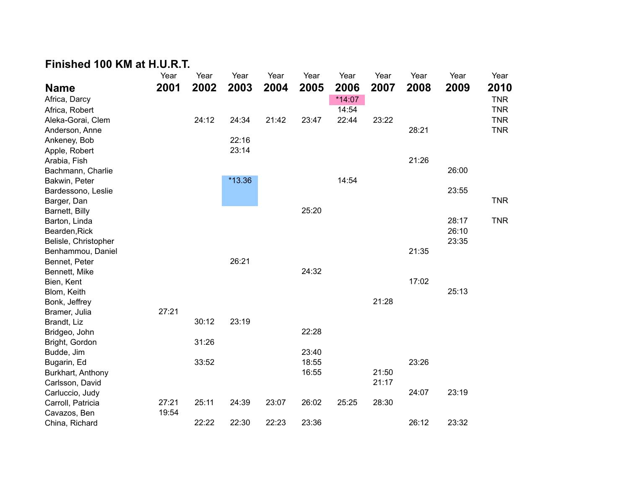## **Finished 100 KM at H.U.R.T.**

|                                                                        | Year           | Year           | Year           | Year           | Year           | Year   | Year  | Year           | Year           | Year       |
|------------------------------------------------------------------------|----------------|----------------|----------------|----------------|----------------|--------|-------|----------------|----------------|------------|
| <b>Name</b>                                                            | 2001           | 2002           | 2003           | 2004           | 2005           | 2006   | 2007  | 2008           | 2009           | 2010       |
| Africa, Darcy                                                          |                |                |                |                |                | *14:07 |       |                |                | <b>TNR</b> |
| Africa, Robert                                                         |                |                |                |                |                | 14:54  |       |                |                | <b>TNR</b> |
| Aleka-Gorai, Clem                                                      |                | 24:12          | 24:34          | 21:42          | 23:47          | 22:44  | 23:22 |                |                | <b>TNR</b> |
| Anderson, Anne                                                         |                |                |                |                |                |        |       | 28:21          |                | <b>TNR</b> |
| Ankeney, Bob                                                           |                |                | 22:16          |                |                |        |       |                |                |            |
| Apple, Robert                                                          |                |                | 23:14          |                |                |        |       |                |                |            |
| Arabia, Fish                                                           |                |                |                |                |                |        |       | 21:26          |                |            |
| Bachmann, Charlie                                                      |                |                |                |                |                |        |       |                | 26:00          |            |
| Bakwin, Peter                                                          |                |                | $*13.36$       |                |                | 14:54  |       |                |                |            |
| Bardessono, Leslie                                                     |                |                |                |                |                |        |       |                | 23:55          |            |
| Barger, Dan                                                            |                |                |                |                |                |        |       |                |                | <b>TNR</b> |
| Barnett, Billy                                                         |                |                |                |                | 25:20          |        |       |                |                |            |
| Barton, Linda                                                          |                |                |                |                |                |        |       |                | 28:17          | <b>TNR</b> |
| Bearden, Rick                                                          |                |                |                |                |                |        |       |                | 26:10          |            |
| Belisle, Christopher                                                   |                |                |                |                |                |        |       |                | 23:35          |            |
| Benhammou, Daniel                                                      |                |                |                |                |                |        |       | 21:35          |                |            |
| Bennet, Peter                                                          |                |                | 26:21          |                |                |        |       |                |                |            |
| Bennett, Mike                                                          |                |                |                |                | 24:32          |        |       |                |                |            |
| Bien, Kent                                                             |                |                |                |                |                |        |       | 17:02          |                |            |
| Blom, Keith                                                            |                |                |                |                |                |        |       |                | 25:13          |            |
| Bonk, Jeffrey                                                          |                |                |                |                |                |        | 21:28 |                |                |            |
| Bramer, Julia                                                          | 27:21          |                |                |                |                |        |       |                |                |            |
| Brandt, Liz                                                            |                | 30:12          | 23:19          |                |                |        |       |                |                |            |
| Bridgeo, John                                                          |                | 31:26          |                |                | 22:28          |        |       |                |                |            |
| Bright, Gordon<br>Budde, Jim                                           |                |                |                |                | 23:40          |        |       |                |                |            |
| Bugarin, Ed                                                            |                | 33:52          |                |                | 18:55          |        |       | 23:26          |                |            |
| Burkhart, Anthony                                                      |                |                |                |                | 16:55          |        | 21:50 |                |                |            |
| Carlsson, David                                                        |                |                |                |                |                |        | 21:17 |                |                |            |
|                                                                        |                |                |                |                |                |        |       |                |                |            |
|                                                                        |                |                |                |                |                |        |       |                |                |            |
|                                                                        |                |                |                |                |                |        |       |                |                |            |
|                                                                        |                |                |                |                |                |        |       |                |                |            |
| Carluccio, Judy<br>Carroll, Patricia<br>Cavazos, Ben<br>China, Richard | 27:21<br>19:54 | 25:11<br>22:22 | 24:39<br>22:30 | 23:07<br>22:23 | 26:02<br>23:36 | 25:25  | 28:30 | 24:07<br>26:12 | 23:19<br>23:32 |            |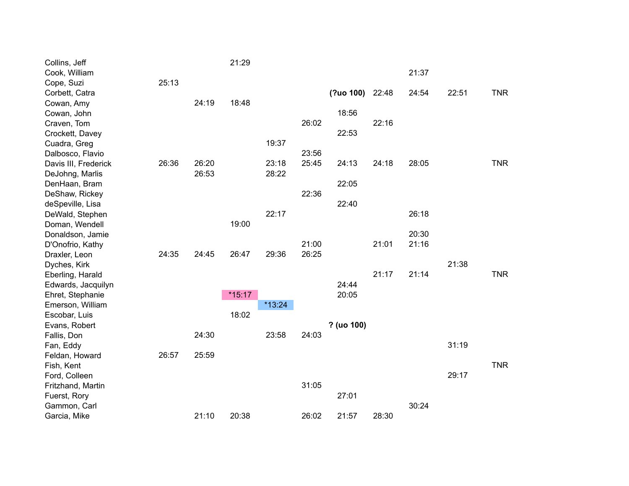| Collins, Jeff        |       |       | 21:29    |          |       |            |       |       |       |            |
|----------------------|-------|-------|----------|----------|-------|------------|-------|-------|-------|------------|
| Cook, William        |       |       |          |          |       |            |       | 21:37 |       |            |
| Cope, Suzi           | 25:13 |       |          |          |       |            |       |       |       |            |
| Corbett, Catra       |       |       |          |          |       | (?uo 100)  | 22:48 | 24:54 | 22:51 | <b>TNR</b> |
| Cowan, Amy           |       | 24:19 | 18:48    |          |       |            |       |       |       |            |
| Cowan, John          |       |       |          |          |       | 18:56      |       |       |       |            |
| Craven, Tom          |       |       |          |          | 26:02 |            | 22:16 |       |       |            |
| Crockett, Davey      |       |       |          |          |       | 22:53      |       |       |       |            |
| Cuadra, Greg         |       |       |          | 19:37    |       |            |       |       |       |            |
| Dalbosco, Flavio     |       |       |          |          | 23:56 |            |       |       |       |            |
| Davis III, Frederick | 26:36 | 26:20 |          | 23:18    | 25:45 | 24:13      | 24:18 | 28:05 |       | <b>TNR</b> |
| DeJohng, Marlis      |       | 26:53 |          | 28:22    |       |            |       |       |       |            |
| DenHaan, Bram        |       |       |          |          |       | 22:05      |       |       |       |            |
| DeShaw, Rickey       |       |       |          |          | 22:36 |            |       |       |       |            |
| deSpeville, Lisa     |       |       |          |          |       | 22:40      |       |       |       |            |
| DeWald, Stephen      |       |       |          | 22:17    |       |            |       | 26:18 |       |            |
| Doman, Wendell       |       |       | 19:00    |          |       |            |       |       |       |            |
| Donaldson, Jamie     |       |       |          |          |       |            |       | 20:30 |       |            |
| D'Onofrio, Kathy     |       |       |          |          | 21:00 |            | 21:01 | 21:16 |       |            |
| Draxler, Leon        | 24:35 | 24:45 | 26:47    | 29:36    | 26:25 |            |       |       |       |            |
| Dyches, Kirk         |       |       |          |          |       |            |       |       | 21:38 |            |
| Eberling, Harald     |       |       |          |          |       |            | 21:17 | 21:14 |       | <b>TNR</b> |
| Edwards, Jacquilyn   |       |       |          |          |       | 24:44      |       |       |       |            |
| Ehret, Stephanie     |       |       | $*15:17$ |          |       | 20:05      |       |       |       |            |
| Emerson, William     |       |       |          | $*13:24$ |       |            |       |       |       |            |
| Escobar, Luis        |       |       | 18:02    |          |       |            |       |       |       |            |
| Evans, Robert        |       |       |          |          |       | ? (uo 100) |       |       |       |            |
| Fallis, Don          |       | 24:30 |          | 23:58    | 24:03 |            |       |       |       |            |
| Fan, Eddy            |       |       |          |          |       |            |       |       | 31:19 |            |
| Feldan, Howard       | 26:57 | 25:59 |          |          |       |            |       |       |       |            |
| Fish, Kent           |       |       |          |          |       |            |       |       |       | <b>TNR</b> |
| Ford, Colleen        |       |       |          |          |       |            |       |       | 29:17 |            |
| Fritzhand, Martin    |       |       |          |          | 31:05 |            |       |       |       |            |
| Fuerst, Rory         |       |       |          |          |       | 27:01      |       |       |       |            |
| Gammon, Carl         |       |       |          |          |       |            |       | 30:24 |       |            |
| Garcia, Mike         |       | 21:10 | 20:38    |          | 26:02 | 21:57      | 28:30 |       |       |            |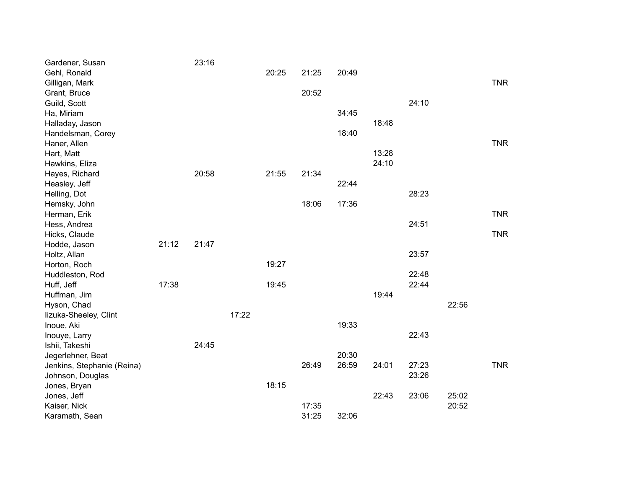| Gardener, Susan            |       | 23:16 |       |       |       |       |       |       |       |            |
|----------------------------|-------|-------|-------|-------|-------|-------|-------|-------|-------|------------|
| Gehl, Ronald               |       |       |       | 20:25 | 21:25 | 20:49 |       |       |       |            |
| Gilligan, Mark             |       |       |       |       |       |       |       |       |       | <b>TNR</b> |
| Grant, Bruce               |       |       |       |       | 20:52 |       |       |       |       |            |
| Guild, Scott               |       |       |       |       |       |       |       | 24:10 |       |            |
| Ha, Miriam                 |       |       |       |       |       | 34:45 |       |       |       |            |
| Halladay, Jason            |       |       |       |       |       |       | 18:48 |       |       |            |
| Handelsman, Corey          |       |       |       |       |       | 18:40 |       |       |       |            |
| Haner, Allen               |       |       |       |       |       |       |       |       |       | <b>TNR</b> |
| Hart, Matt                 |       |       |       |       |       |       | 13:28 |       |       |            |
| Hawkins, Eliza             |       |       |       |       |       |       | 24:10 |       |       |            |
| Hayes, Richard             |       | 20:58 |       | 21:55 | 21:34 |       |       |       |       |            |
| Heasley, Jeff              |       |       |       |       |       | 22:44 |       |       |       |            |
| Helling, Dot               |       |       |       |       |       |       |       | 28:23 |       |            |
| Hemsky, John               |       |       |       |       | 18:06 | 17:36 |       |       |       |            |
| Herman, Erik               |       |       |       |       |       |       |       |       |       | <b>TNR</b> |
| Hess, Andrea               |       |       |       |       |       |       |       | 24:51 |       |            |
| Hicks, Claude              |       |       |       |       |       |       |       |       |       | <b>TNR</b> |
| Hodde, Jason               | 21:12 | 21:47 |       |       |       |       |       |       |       |            |
| Holtz, Allan               |       |       |       |       |       |       |       | 23:57 |       |            |
| Horton, Roch               |       |       |       | 19:27 |       |       |       |       |       |            |
| Huddleston, Rod            |       |       |       |       |       |       |       | 22:48 |       |            |
| Huff, Jeff                 | 17:38 |       |       | 19:45 |       |       |       | 22:44 |       |            |
| Huffman, Jim               |       |       |       |       |       |       | 19:44 |       |       |            |
| Hyson, Chad                |       |       |       |       |       |       |       |       | 22:56 |            |
| lizuka-Sheeley, Clint      |       |       | 17:22 |       |       |       |       |       |       |            |
| Inoue, Aki                 |       |       |       |       |       | 19:33 |       |       |       |            |
| Inouye, Larry              |       |       |       |       |       |       |       | 22:43 |       |            |
| Ishii, Takeshi             |       | 24:45 |       |       |       |       |       |       |       |            |
| Jegerlehner, Beat          |       |       |       |       |       | 20:30 |       |       |       |            |
| Jenkins, Stephanie (Reina) |       |       |       |       | 26:49 | 26:59 | 24:01 | 27:23 |       | <b>TNR</b> |
| Johnson, Douglas           |       |       |       |       |       |       |       | 23:26 |       |            |
| Jones, Bryan               |       |       |       | 18:15 |       |       |       |       |       |            |
| Jones, Jeff                |       |       |       |       |       |       | 22:43 | 23:06 | 25:02 |            |
| Kaiser, Nick               |       |       |       |       | 17:35 |       |       |       | 20:52 |            |
| Karamath, Sean             |       |       |       |       | 31:25 | 32:06 |       |       |       |            |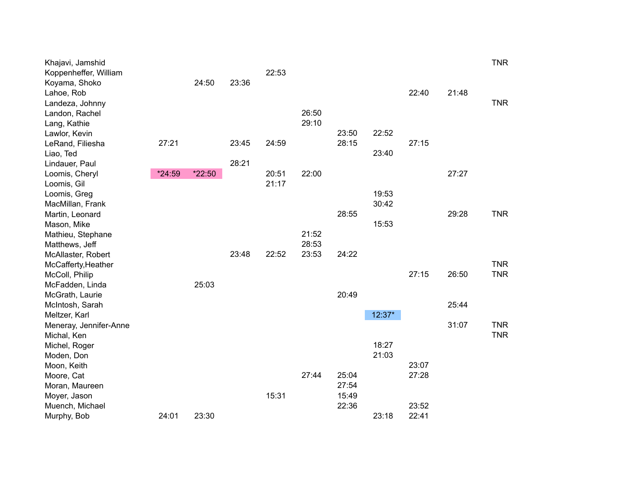| Khajavi, Jamshid          |        |        |       |       |       |       |          |       |       | <b>TNR</b> |
|---------------------------|--------|--------|-------|-------|-------|-------|----------|-------|-------|------------|
| Koppenheffer, William     |        |        |       | 22:53 |       |       |          |       |       |            |
| Koyama, Shoko             |        | 24:50  | 23:36 |       |       |       |          |       |       |            |
| Lahoe, Rob                |        |        |       |       |       |       |          | 22:40 | 21:48 |            |
| Landeza, Johnny           |        |        |       |       |       |       |          |       |       | <b>TNR</b> |
| Landon, Rachel            |        |        |       |       | 26:50 |       |          |       |       |            |
| Lang, Kathie              |        |        |       |       | 29:10 |       |          |       |       |            |
| Lawlor, Kevin             |        |        |       |       |       | 23:50 | 22:52    |       |       |            |
| LeRand, Filiesha          | 27:21  |        | 23:45 | 24:59 |       | 28:15 |          | 27:15 |       |            |
| Liao, Ted                 |        |        |       |       |       |       | 23:40    |       |       |            |
| Lindauer, Paul            |        |        | 28:21 |       |       |       |          |       |       |            |
| Loomis, Cheryl            | *24:59 | *22:50 |       | 20:51 | 22:00 |       |          |       | 27:27 |            |
| Loomis, Gil               |        |        |       | 21:17 |       |       |          |       |       |            |
| Loomis, Greg              |        |        |       |       |       |       | 19:53    |       |       |            |
| MacMillan, Frank          |        |        |       |       |       |       | 30:42    |       |       |            |
| Martin, Leonard           |        |        |       |       |       | 28:55 |          |       | 29:28 | <b>TNR</b> |
| Mason, Mike               |        |        |       |       |       |       | 15:53    |       |       |            |
| Mathieu, Stephane         |        |        |       |       | 21:52 |       |          |       |       |            |
| Matthews, Jeff            |        |        |       |       | 28:53 |       |          |       |       |            |
| McAllaster, Robert        |        |        | 23:48 | 22:52 | 23:53 | 24:22 |          |       |       |            |
| McCafferty, Heather       |        |        |       |       |       |       |          |       |       | <b>TNR</b> |
| McColl, Philip            |        |        |       |       |       |       |          | 27:15 | 26:50 | <b>TNR</b> |
| McFadden, Linda           |        | 25:03  |       |       |       |       |          |       |       |            |
| McGrath, Laurie           |        |        |       |       |       | 20:49 |          |       |       |            |
| McIntosh, Sarah           |        |        |       |       |       |       |          |       | 25:44 |            |
| Meltzer, Karl             |        |        |       |       |       |       | $12:37*$ |       |       |            |
| Meneray, Jennifer-Anne    |        |        |       |       |       |       |          |       | 31:07 | <b>TNR</b> |
| Michal, Ken               |        |        |       |       |       |       | 18:27    |       |       | <b>TNR</b> |
| Michel, Roger             |        |        |       |       |       |       | 21:03    |       |       |            |
| Moden, Don                |        |        |       |       |       |       |          | 23:07 |       |            |
| Moon, Keith<br>Moore, Cat |        |        |       |       | 27:44 | 25:04 |          | 27:28 |       |            |
| Moran, Maureen            |        |        |       |       |       | 27:54 |          |       |       |            |
| Moyer, Jason              |        |        |       | 15:31 |       | 15:49 |          |       |       |            |
| Muench, Michael           |        |        |       |       |       | 22:36 |          | 23:52 |       |            |
| Murphy, Bob               | 24:01  | 23:30  |       |       |       |       | 23:18    | 22:41 |       |            |
|                           |        |        |       |       |       |       |          |       |       |            |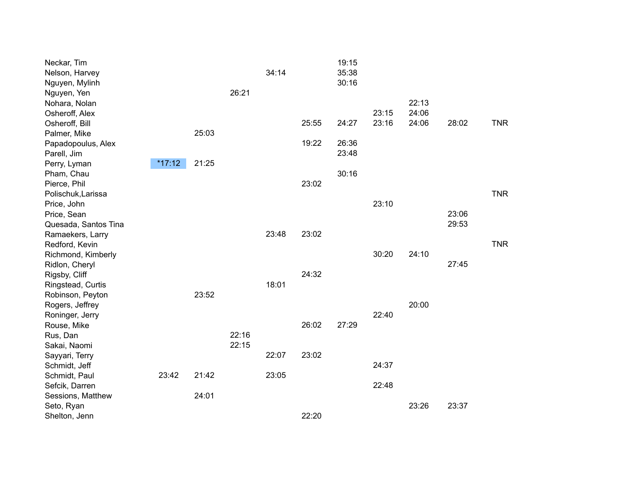| Neckar, Tim<br>Nelson, Harvey<br>Nguyen, Mylinh |          |       |       | 34:14 |       | 19:15<br>35:38<br>30:16 |       |       |       |            |
|-------------------------------------------------|----------|-------|-------|-------|-------|-------------------------|-------|-------|-------|------------|
| Nguyen, Yen                                     |          |       | 26:21 |       |       |                         |       |       |       |            |
| Nohara, Nolan                                   |          |       |       |       |       |                         |       | 22:13 |       |            |
| Osheroff, Alex                                  |          |       |       |       |       |                         | 23:15 | 24:06 |       |            |
| Osheroff, Bill                                  |          |       |       |       | 25:55 | 24:27                   | 23:16 | 24:06 | 28:02 | <b>TNR</b> |
| Palmer, Mike                                    |          | 25:03 |       |       |       |                         |       |       |       |            |
| Papadopoulus, Alex                              |          |       |       |       | 19:22 | 26:36                   |       |       |       |            |
| Parell, Jim                                     |          |       |       |       |       | 23:48                   |       |       |       |            |
| Perry, Lyman                                    | $*17:12$ | 21:25 |       |       |       |                         |       |       |       |            |
| Pham, Chau                                      |          |       |       |       |       | 30:16                   |       |       |       |            |
| Pierce, Phil                                    |          |       |       |       | 23:02 |                         |       |       |       |            |
| Polischuk, Larissa                              |          |       |       |       |       |                         |       |       |       | <b>TNR</b> |
| Price, John                                     |          |       |       |       |       |                         | 23:10 |       |       |            |
| Price, Sean                                     |          |       |       |       |       |                         |       |       | 23:06 |            |
| Quesada, Santos Tina                            |          |       |       |       |       |                         |       |       | 29:53 |            |
| Ramaekers, Larry                                |          |       |       | 23:48 | 23:02 |                         |       |       |       |            |
| Redford, Kevin                                  |          |       |       |       |       |                         |       |       |       | <b>TNR</b> |
| Richmond, Kimberly                              |          |       |       |       |       |                         | 30:20 | 24:10 |       |            |
| Ridlon, Cheryl                                  |          |       |       |       |       |                         |       |       | 27:45 |            |
| Rigsby, Cliff                                   |          |       |       |       | 24:32 |                         |       |       |       |            |
| Ringstead, Curtis                               |          |       |       | 18:01 |       |                         |       |       |       |            |
| Robinson, Peyton                                |          | 23:52 |       |       |       |                         |       |       |       |            |
| Rogers, Jeffrey                                 |          |       |       |       |       |                         |       | 20:00 |       |            |
| Roninger, Jerry                                 |          |       |       |       |       |                         | 22:40 |       |       |            |
| Rouse, Mike                                     |          |       |       |       | 26:02 | 27:29                   |       |       |       |            |
| Rus, Dan                                        |          |       | 22:16 |       |       |                         |       |       |       |            |
| Sakai, Naomi                                    |          |       | 22:15 |       |       |                         |       |       |       |            |
| Sayyari, Terry                                  |          |       |       | 22:07 | 23:02 |                         |       |       |       |            |
| Schmidt, Jeff                                   |          |       |       |       |       |                         | 24:37 |       |       |            |
| Schmidt, Paul                                   | 23:42    | 21:42 |       | 23:05 |       |                         |       |       |       |            |
| Sefcik, Darren                                  |          |       |       |       |       |                         | 22:48 |       |       |            |
| Sessions, Matthew                               |          | 24:01 |       |       |       |                         |       |       |       |            |
| Seto, Ryan                                      |          |       |       |       |       |                         |       | 23:26 | 23:37 |            |
| Shelton, Jenn                                   |          |       |       |       | 22:20 |                         |       |       |       |            |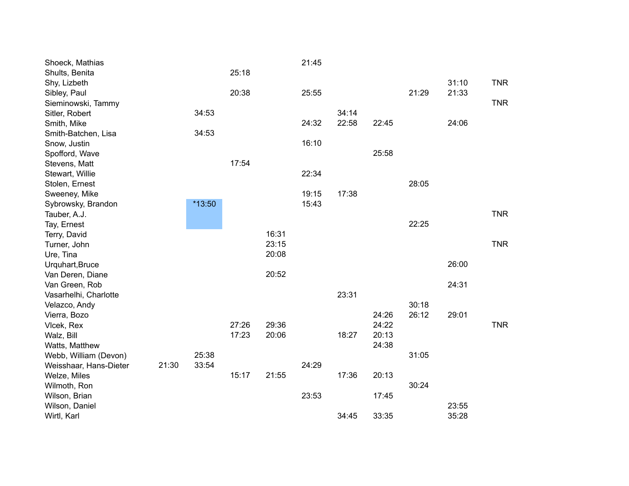| Shoeck, Mathias        |       |        |       |       | 21:45 |       |       |       |       |            |
|------------------------|-------|--------|-------|-------|-------|-------|-------|-------|-------|------------|
| Shults, Benita         |       |        | 25:18 |       |       |       |       |       |       |            |
| Shy, Lizbeth           |       |        |       |       |       |       |       |       | 31:10 | <b>TNR</b> |
| Sibley, Paul           |       |        | 20:38 |       | 25:55 |       |       | 21:29 | 21:33 |            |
| Sieminowski, Tammy     |       |        |       |       |       |       |       |       |       | <b>TNR</b> |
| Sitler, Robert         |       | 34:53  |       |       |       | 34:14 |       |       |       |            |
| Smith, Mike            |       |        |       |       | 24:32 | 22:58 | 22:45 |       | 24:06 |            |
| Smith-Batchen, Lisa    |       | 34:53  |       |       |       |       |       |       |       |            |
| Snow, Justin           |       |        |       |       | 16:10 |       |       |       |       |            |
| Spofford, Wave         |       |        |       |       |       |       | 25:58 |       |       |            |
| Stevens, Matt          |       |        | 17:54 |       |       |       |       |       |       |            |
| Stewart, Willie        |       |        |       |       | 22:34 |       |       |       |       |            |
| Stolen, Ernest         |       |        |       |       |       |       |       | 28:05 |       |            |
| Sweeney, Mike          |       |        |       |       | 19:15 | 17:38 |       |       |       |            |
| Sybrowsky, Brandon     |       | *13:50 |       |       | 15:43 |       |       |       |       |            |
| Tauber, A.J.           |       |        |       |       |       |       |       |       |       | <b>TNR</b> |
| Tay, Ernest            |       |        |       |       |       |       |       | 22:25 |       |            |
| Terry, David           |       |        |       | 16:31 |       |       |       |       |       |            |
| Turner, John           |       |        |       | 23:15 |       |       |       |       |       | <b>TNR</b> |
| Ure, Tina              |       |        |       | 20:08 |       |       |       |       |       |            |
| Urquhart, Bruce        |       |        |       |       |       |       |       |       | 26:00 |            |
| Van Deren, Diane       |       |        |       | 20:52 |       |       |       |       |       |            |
| Van Green, Rob         |       |        |       |       |       |       |       |       | 24:31 |            |
| Vasarhelhi, Charlotte  |       |        |       |       |       | 23:31 |       |       |       |            |
| Velazco, Andy          |       |        |       |       |       |       |       | 30:18 |       |            |
| Vierra, Bozo           |       |        |       |       |       |       | 24:26 | 26:12 | 29:01 |            |
| Vlcek, Rex             |       |        | 27:26 | 29:36 |       |       | 24:22 |       |       | <b>TNR</b> |
| Walz, Bill             |       |        | 17:23 | 20:06 |       | 18:27 | 20:13 |       |       |            |
| Watts, Matthew         |       |        |       |       |       |       | 24:38 |       |       |            |
| Webb, William (Devon)  |       | 25:38  |       |       |       |       |       | 31:05 |       |            |
| Weisshaar, Hans-Dieter | 21:30 | 33:54  |       |       | 24:29 |       |       |       |       |            |
| Welze, Miles           |       |        | 15:17 | 21:55 |       | 17:36 | 20:13 |       |       |            |
| Wilmoth, Ron           |       |        |       |       |       |       |       | 30:24 |       |            |
| Wilson, Brian          |       |        |       |       | 23:53 |       | 17:45 |       |       |            |
| Wilson, Daniel         |       |        |       |       |       |       |       |       | 23:55 |            |
| Wirtl, Karl            |       |        |       |       |       | 34:45 | 33:35 |       | 35:28 |            |